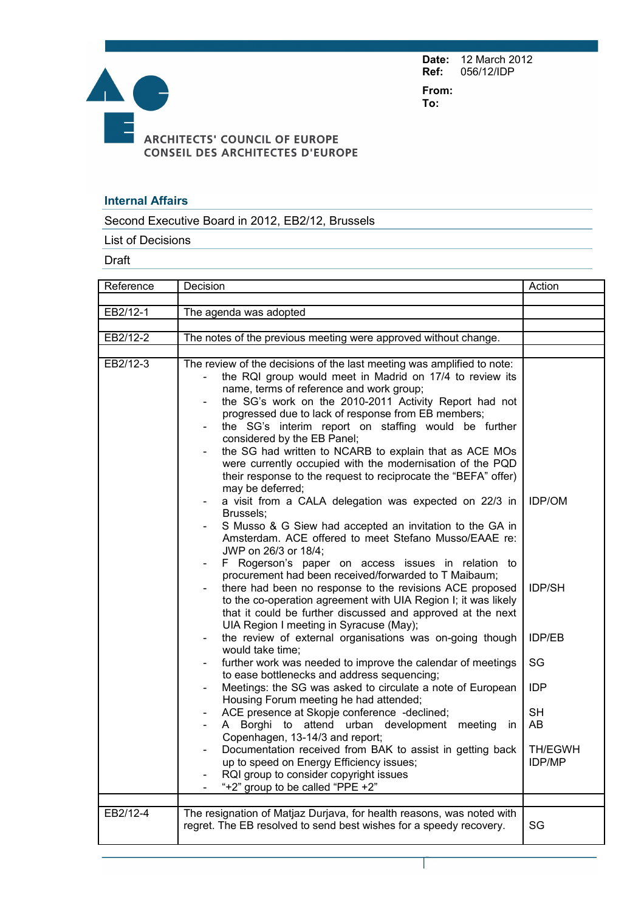**Date:** 12 March 2012 **Ref:** 056/12/IDP

**From: To:** 



## **Internal Affairs**

Second Executive Board in 2012, EB2/12, Brussels

List of Decisions

Draft

| Reference            | Decision                                                                                                                                                                                                                                                                                                                                                                                                                                                                                                                                                                                                                                                                                                                                                                                                                                                                                                                                                                                                                                                                                                                                                                                                                                                                                                                                                                                                                                                                                                                                                                                                                                                                                                                                                                                                                                                                                       | Action                                                                                                             |
|----------------------|------------------------------------------------------------------------------------------------------------------------------------------------------------------------------------------------------------------------------------------------------------------------------------------------------------------------------------------------------------------------------------------------------------------------------------------------------------------------------------------------------------------------------------------------------------------------------------------------------------------------------------------------------------------------------------------------------------------------------------------------------------------------------------------------------------------------------------------------------------------------------------------------------------------------------------------------------------------------------------------------------------------------------------------------------------------------------------------------------------------------------------------------------------------------------------------------------------------------------------------------------------------------------------------------------------------------------------------------------------------------------------------------------------------------------------------------------------------------------------------------------------------------------------------------------------------------------------------------------------------------------------------------------------------------------------------------------------------------------------------------------------------------------------------------------------------------------------------------------------------------------------------------|--------------------------------------------------------------------------------------------------------------------|
|                      |                                                                                                                                                                                                                                                                                                                                                                                                                                                                                                                                                                                                                                                                                                                                                                                                                                                                                                                                                                                                                                                                                                                                                                                                                                                                                                                                                                                                                                                                                                                                                                                                                                                                                                                                                                                                                                                                                                |                                                                                                                    |
| EB2/12-1             | The agenda was adopted                                                                                                                                                                                                                                                                                                                                                                                                                                                                                                                                                                                                                                                                                                                                                                                                                                                                                                                                                                                                                                                                                                                                                                                                                                                                                                                                                                                                                                                                                                                                                                                                                                                                                                                                                                                                                                                                         |                                                                                                                    |
| EB2/12-2             |                                                                                                                                                                                                                                                                                                                                                                                                                                                                                                                                                                                                                                                                                                                                                                                                                                                                                                                                                                                                                                                                                                                                                                                                                                                                                                                                                                                                                                                                                                                                                                                                                                                                                                                                                                                                                                                                                                |                                                                                                                    |
|                      | The notes of the previous meeting were approved without change.                                                                                                                                                                                                                                                                                                                                                                                                                                                                                                                                                                                                                                                                                                                                                                                                                                                                                                                                                                                                                                                                                                                                                                                                                                                                                                                                                                                                                                                                                                                                                                                                                                                                                                                                                                                                                                |                                                                                                                    |
| EB2/12-3<br>EB2/12-4 | The review of the decisions of the last meeting was amplified to note:<br>the RQI group would meet in Madrid on 17/4 to review its<br>name, terms of reference and work group;<br>the SG's work on the 2010-2011 Activity Report had not<br>progressed due to lack of response from EB members;<br>the SG's interim report on staffing would be further<br>considered by the EB Panel;<br>the SG had written to NCARB to explain that as ACE MOs<br>were currently occupied with the modernisation of the PQD<br>their response to the request to reciprocate the "BEFA" offer)<br>may be deferred;<br>a visit from a CALA delegation was expected on 22/3 in<br>Brussels;<br>S Musso & G Siew had accepted an invitation to the GA in<br>Amsterdam. ACE offered to meet Stefano Musso/EAAE re:<br>JWP on 26/3 or 18/4;<br>F Rogerson's paper on access issues in relation to<br>procurement had been received/forwarded to T Maibaum;<br>there had been no response to the revisions ACE proposed<br>to the co-operation agreement with UIA Region I; it was likely<br>that it could be further discussed and approved at the next<br>UIA Region I meeting in Syracuse (May);<br>the review of external organisations was on-going though<br>would take time;<br>further work was needed to improve the calendar of meetings<br>to ease bottlenecks and address sequencing;<br>Meetings: the SG was asked to circulate a note of European<br>Housing Forum meeting he had attended;<br>ACE presence at Skopje conference -declined;<br>A Borghi to attend urban development meeting<br>in.<br>Copenhagen, 13-14/3 and report;<br>Documentation received from BAK to assist in getting back<br>up to speed on Energy Efficiency issues;<br>RQI group to consider copyright issues<br>"+2" group to be called "PPE +2"<br>The resignation of Matjaz Durjava, for health reasons, was noted with | <b>IDP/OM</b><br><b>IDP/SH</b><br>IDP/EB<br>SG<br><b>IDP</b><br><b>SH</b><br>AB<br><b>TH/EGWH</b><br><b>IDP/MP</b> |
|                      | regret. The EB resolved to send best wishes for a speedy recovery.                                                                                                                                                                                                                                                                                                                                                                                                                                                                                                                                                                                                                                                                                                                                                                                                                                                                                                                                                                                                                                                                                                                                                                                                                                                                                                                                                                                                                                                                                                                                                                                                                                                                                                                                                                                                                             | SG                                                                                                                 |

I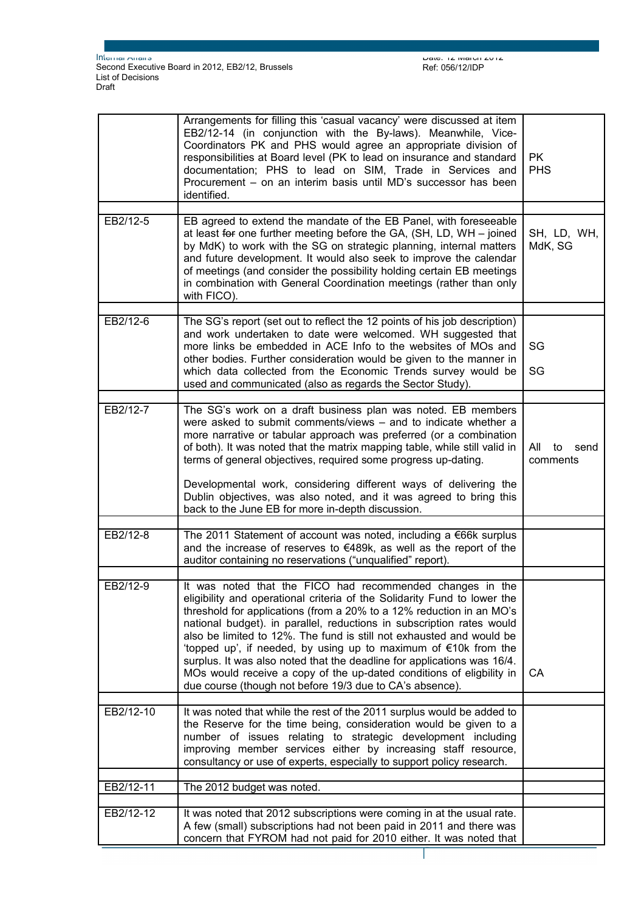$D$ die: 12 March 2012 Ref: 056/12/IDP

Page 2 sur 6

|           | Arrangements for filling this 'casual vacancy' were discussed at item<br>EB2/12-14 (in conjunction with the By-laws). Meanwhile, Vice-<br>Coordinators PK and PHS would agree an appropriate division of<br>responsibilities at Board level (PK to lead on insurance and standard<br>documentation; PHS to lead on SIM, Trade in Services and<br>Procurement - on an interim basis until MD's successor has been<br>identified.                                                                                                                                                                                                                            | <b>PK</b><br><b>PHS</b>       |
|-----------|------------------------------------------------------------------------------------------------------------------------------------------------------------------------------------------------------------------------------------------------------------------------------------------------------------------------------------------------------------------------------------------------------------------------------------------------------------------------------------------------------------------------------------------------------------------------------------------------------------------------------------------------------------|-------------------------------|
| EB2/12-5  | EB agreed to extend the mandate of the EB Panel, with foreseeable<br>at least for one further meeting before the GA, (SH, LD, WH - joined<br>by MdK) to work with the SG on strategic planning, internal matters<br>and future development. It would also seek to improve the calendar<br>of meetings (and consider the possibility holding certain EB meetings<br>in combination with General Coordination meetings (rather than only<br>with FICO).                                                                                                                                                                                                      | SH, LD, WH,<br>MdK, SG        |
| EB2/12-6  | The SG's report (set out to reflect the 12 points of his job description)<br>and work undertaken to date were welcomed. WH suggested that<br>more links be embedded in ACE Info to the websites of MOs and<br>other bodies. Further consideration would be given to the manner in<br>which data collected from the Economic Trends survey would be<br>used and communicated (also as regards the Sector Study).                                                                                                                                                                                                                                            | SG<br>SG                      |
| EB2/12-7  | The SG's work on a draft business plan was noted. EB members<br>were asked to submit comments/views – and to indicate whether a<br>more narrative or tabular approach was preferred (or a combination<br>of both). It was noted that the matrix mapping table, while still valid in<br>terms of general objectives, required some progress up-dating.<br>Developmental work, considering different ways of delivering the<br>Dublin objectives, was also noted, and it was agreed to bring this<br>back to the June EB for more in-depth discussion.                                                                                                       | All<br>to<br>send<br>comments |
| EB2/12-8  | The 2011 Statement of account was noted, including a $€66k$ surplus<br>and the increase of reserves to €489k, as well as the report of the<br>auditor containing no reservations ("unqualified" report).                                                                                                                                                                                                                                                                                                                                                                                                                                                   |                               |
| EB2/12-9  | It was noted that the FICO had recommended changes in the<br>eligibility and operational criteria of the Solidarity Fund to lower the<br>threshold for applications (from a 20% to a 12% reduction in an MO's<br>national budget). in parallel, reductions in subscription rates would<br>also be limited to 12%. The fund is still not exhausted and would be<br>'topped up', if needed, by using up to maximum of $\epsilon$ 10k from the<br>surplus. It was also noted that the deadline for applications was 16/4.<br>MOs would receive a copy of the up-dated conditions of eligbility in<br>due course (though not before 19/3 due to CA's absence). | CA                            |
| EB2/12-10 | It was noted that while the rest of the 2011 surplus would be added to<br>the Reserve for the time being, consideration would be given to a<br>number of issues relating to strategic development including<br>improving member services either by increasing staff resource,<br>consultancy or use of experts, especially to support policy research.                                                                                                                                                                                                                                                                                                     |                               |
| EB2/12-11 | The 2012 budget was noted.                                                                                                                                                                                                                                                                                                                                                                                                                                                                                                                                                                                                                                 |                               |
| EB2/12-12 | It was noted that 2012 subscriptions were coming in at the usual rate.<br>A few (small) subscriptions had not been paid in 2011 and there was<br>concern that FYROM had not paid for 2010 either. It was noted that                                                                                                                                                                                                                                                                                                                                                                                                                                        |                               |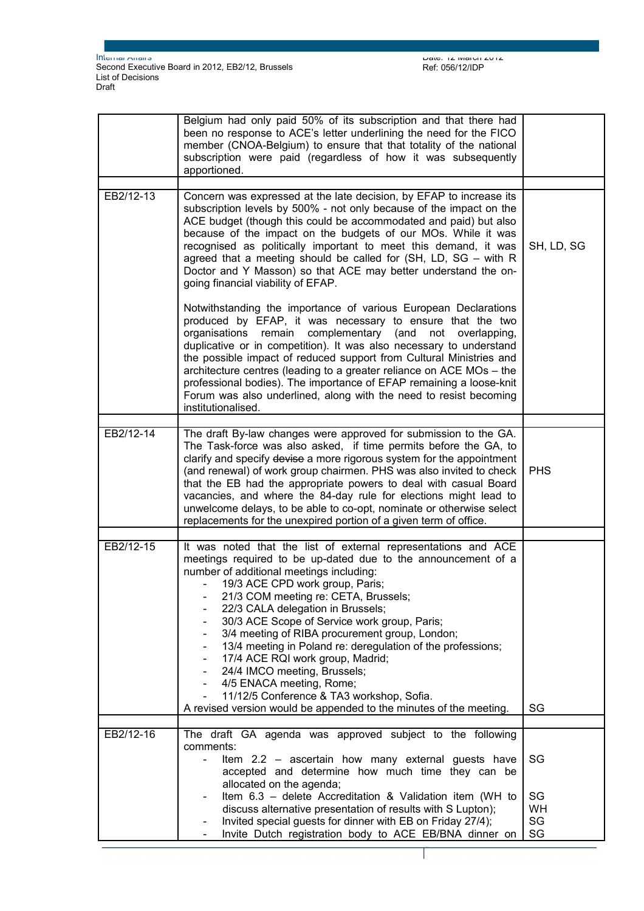Page 3 sur 6

|           | Belgium had only paid 50% of its subscription and that there had<br>been no response to ACE's letter underlining the need for the FICO<br>member (CNOA-Belgium) to ensure that that totality of the national<br>subscription were paid (regardless of how it was subsequently<br>apportioned.                                                                                                                                                                                                                                                                                                             |                             |
|-----------|-----------------------------------------------------------------------------------------------------------------------------------------------------------------------------------------------------------------------------------------------------------------------------------------------------------------------------------------------------------------------------------------------------------------------------------------------------------------------------------------------------------------------------------------------------------------------------------------------------------|-----------------------------|
| EB2/12-13 | Concern was expressed at the late decision, by EFAP to increase its                                                                                                                                                                                                                                                                                                                                                                                                                                                                                                                                       |                             |
|           | subscription levels by 500% - not only because of the impact on the<br>ACE budget (though this could be accommodated and paid) but also<br>because of the impact on the budgets of our MOs. While it was<br>recognised as politically important to meet this demand, it was<br>agreed that a meeting should be called for (SH, LD, SG - with R<br>Doctor and Y Masson) so that ACE may better understand the on-<br>going financial viability of EFAP.                                                                                                                                                    | SH, LD, SG                  |
|           | Notwithstanding the importance of various European Declarations<br>produced by EFAP, it was necessary to ensure that the two<br>complementary (and<br>organisations remain<br>not<br>overlapping,<br>duplicative or in competition). It was also necessary to understand<br>the possible impact of reduced support from Cultural Ministries and<br>architecture centres (leading to a greater reliance on ACE MOs - the<br>professional bodies). The importance of EFAP remaining a loose-knit<br>Forum was also underlined, along with the need to resist becoming<br>institutionalised.                 |                             |
| EB2/12-14 | The draft By-law changes were approved for submission to the GA.<br>The Task-force was also asked, if time permits before the GA, to<br>clarify and specify devise a more rigorous system for the appointment<br>(and renewal) of work group chairmen. PHS was also invited to check<br>that the EB had the appropriate powers to deal with casual Board<br>vacancies, and where the 84-day rule for elections might lead to<br>unwelcome delays, to be able to co-opt, nominate or otherwise select<br>replacements for the unexpired portion of a given term of office.                                 | <b>PHS</b>                  |
|           |                                                                                                                                                                                                                                                                                                                                                                                                                                                                                                                                                                                                           |                             |
| EB2/12-15 | It was noted that the list of external representations and ACE<br>meetings required to be up-dated due to the announcement of a<br>number of additional meetings including:<br>19/3 ACE CPD work group, Paris;<br>21/3 COM meeting re: CETA, Brussels;<br>22/3 CALA delegation in Brussels;<br>30/3 ACE Scope of Service work group, Paris;<br>3/4 meeting of RIBA procurement group, London;<br>13/4 meeting in Poland re: deregulation of the professions;<br>17/4 ACE RQI work group, Madrid;<br>24/4 IMCO meeting, Brussels;<br>4/5 ENACA meeting, Rome;<br>11/12/5 Conference & TA3 workshop, Sofia. |                             |
|           | A revised version would be appended to the minutes of the meeting.                                                                                                                                                                                                                                                                                                                                                                                                                                                                                                                                        | SG                          |
| EB2/12-16 | The draft GA agenda was approved subject to the following<br>comments:<br>Item 2.2 - ascertain how many external guests have<br>accepted and determine how much time they can be<br>allocated on the agenda;                                                                                                                                                                                                                                                                                                                                                                                              | SG                          |
|           | Item 6.3 - delete Accreditation & Validation item (WH to<br>discuss alternative presentation of results with S Lupton);<br>Invited special guests for dinner with EB on Friday 27/4);<br>Invite Dutch registration body to ACE EB/BNA dinner on                                                                                                                                                                                                                                                                                                                                                           | SG<br><b>WH</b><br>SG<br>SG |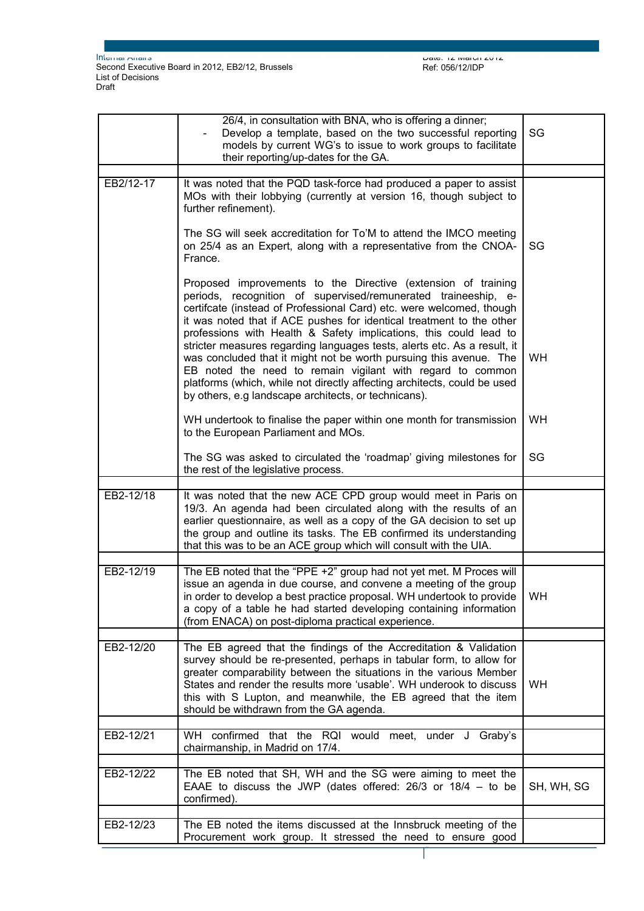Page 4 sur 6

|           | 26/4, in consultation with BNA, who is offering a dinner;<br>Develop a template, based on the two successful reporting<br>models by current WG's to issue to work groups to facilitate<br>their reporting/up-dates for the GA.                                                                                                                                                                                                                                                                                                                                                                                                                                                                           | SG         |
|-----------|----------------------------------------------------------------------------------------------------------------------------------------------------------------------------------------------------------------------------------------------------------------------------------------------------------------------------------------------------------------------------------------------------------------------------------------------------------------------------------------------------------------------------------------------------------------------------------------------------------------------------------------------------------------------------------------------------------|------------|
| EB2/12-17 | It was noted that the PQD task-force had produced a paper to assist<br>MOs with their lobbying (currently at version 16, though subject to<br>further refinement).                                                                                                                                                                                                                                                                                                                                                                                                                                                                                                                                       |            |
|           | The SG will seek accreditation for To'M to attend the IMCO meeting<br>on 25/4 as an Expert, along with a representative from the CNOA-<br>France.                                                                                                                                                                                                                                                                                                                                                                                                                                                                                                                                                        | SG         |
|           | Proposed improvements to the Directive (extension of training<br>periods, recognition of supervised/remunerated traineeship, e-<br>certifcate (instead of Professional Card) etc. were welcomed, though<br>it was noted that if ACE pushes for identical treatment to the other<br>professions with Health & Safety implications, this could lead to<br>stricter measures regarding languages tests, alerts etc. As a result, it<br>was concluded that it might not be worth pursuing this avenue. The<br>EB noted the need to remain vigilant with regard to common<br>platforms (which, while not directly affecting architects, could be used<br>by others, e.g landscape architects, or technicans). | <b>WH</b>  |
|           | WH undertook to finalise the paper within one month for transmission<br>to the European Parliament and MOs.                                                                                                                                                                                                                                                                                                                                                                                                                                                                                                                                                                                              | <b>WH</b>  |
|           | The SG was asked to circulated the 'roadmap' giving milestones for<br>the rest of the legislative process.                                                                                                                                                                                                                                                                                                                                                                                                                                                                                                                                                                                               | SG         |
| EB2-12/18 | It was noted that the new ACE CPD group would meet in Paris on<br>19/3. An agenda had been circulated along with the results of an<br>earlier questionnaire, as well as a copy of the GA decision to set up<br>the group and outline its tasks. The EB confirmed its understanding<br>that this was to be an ACE group which will consult with the UIA.                                                                                                                                                                                                                                                                                                                                                  |            |
| EB2-12/19 | The EB noted that the "PPE +2" group had not yet met. M Proces will<br>issue an agenda in due course, and convene a meeting of the group<br>in order to develop a best practice proposal. WH undertook to provide<br>a copy of a table he had started developing containing information<br>(from ENACA) on post-diploma practical experience.                                                                                                                                                                                                                                                                                                                                                            | WH.        |
| EB2-12/20 | The EB agreed that the findings of the Accreditation & Validation<br>survey should be re-presented, perhaps in tabular form, to allow for<br>greater comparability between the situations in the various Member<br>States and render the results more 'usable'. WH underook to discuss<br>this with S Lupton, and meanwhile, the EB agreed that the item<br>should be withdrawn from the GA agenda.                                                                                                                                                                                                                                                                                                      | <b>WH</b>  |
| EB2-12/21 | WH confirmed that the RQI would meet, under J Graby's<br>chairmanship, in Madrid on 17/4.                                                                                                                                                                                                                                                                                                                                                                                                                                                                                                                                                                                                                |            |
|           |                                                                                                                                                                                                                                                                                                                                                                                                                                                                                                                                                                                                                                                                                                          |            |
| EB2-12/22 | The EB noted that SH, WH and the SG were aiming to meet the<br>EAAE to discuss the JWP (dates offered: $26/3$ or $18/4 -$ to be<br>confirmed).                                                                                                                                                                                                                                                                                                                                                                                                                                                                                                                                                           | SH, WH, SG |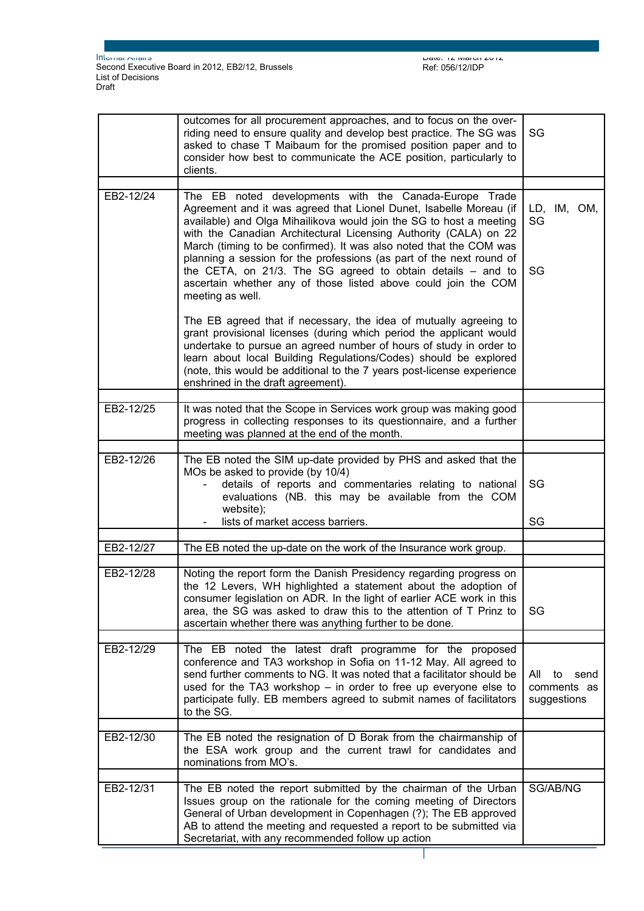|           | outcomes for all procurement approaches, and to focus on the over-<br>riding need to ensure quality and develop best practice. The SG was<br>asked to chase T Maibaum for the promised position paper and to<br>consider how best to communicate the ACE position, particularly to<br>clients.                                                                                                                                                                                                                                                                               | SG                                              |
|-----------|------------------------------------------------------------------------------------------------------------------------------------------------------------------------------------------------------------------------------------------------------------------------------------------------------------------------------------------------------------------------------------------------------------------------------------------------------------------------------------------------------------------------------------------------------------------------------|-------------------------------------------------|
|           |                                                                                                                                                                                                                                                                                                                                                                                                                                                                                                                                                                              |                                                 |
| EB2-12/24 | The EB noted developments with the Canada-Europe Trade<br>Agreement and it was agreed that Lionel Dunet, Isabelle Moreau (if<br>available) and Olga Mihailikova would join the SG to host a meeting<br>with the Canadian Architectural Licensing Authority (CALA) on 22<br>March (timing to be confirmed). It was also noted that the COM was<br>planning a session for the professions (as part of the next round of<br>the CETA, on 21/3. The SG agreed to obtain details $-$ and to<br>ascertain whether any of those listed above could join the COM<br>meeting as well. | LD, IM, OM,<br>SG<br>SG                         |
|           | The EB agreed that if necessary, the idea of mutually agreeing to<br>grant provisional licenses (during which period the applicant would<br>undertake to pursue an agreed number of hours of study in order to<br>learn about local Building Regulations/Codes) should be explored<br>(note, this would be additional to the 7 years post-license experience<br>enshrined in the draft agreement).                                                                                                                                                                           |                                                 |
| EB2-12/25 | It was noted that the Scope in Services work group was making good<br>progress in collecting responses to its questionnaire, and a further<br>meeting was planned at the end of the month.                                                                                                                                                                                                                                                                                                                                                                                   |                                                 |
|           |                                                                                                                                                                                                                                                                                                                                                                                                                                                                                                                                                                              |                                                 |
| EB2-12/26 | The EB noted the SIM up-date provided by PHS and asked that the<br>MOs be asked to provide (by 10/4)<br>details of reports and commentaries relating to national<br>evaluations (NB. this may be available from the COM<br>website);                                                                                                                                                                                                                                                                                                                                         | SG                                              |
|           | lists of market access barriers.                                                                                                                                                                                                                                                                                                                                                                                                                                                                                                                                             | SG                                              |
|           |                                                                                                                                                                                                                                                                                                                                                                                                                                                                                                                                                                              |                                                 |
| EB2-12/27 | The EB noted the up-date on the work of the Insurance work group.                                                                                                                                                                                                                                                                                                                                                                                                                                                                                                            |                                                 |
| EB2-12/28 | Noting the report form the Danish Presidency regarding progress on<br>the 12 Levers, WH highlighted a statement about the adoption of<br>consumer legislation on ADR. In the light of earlier ACE work in this<br>area, the SG was asked to draw this to the attention of T Prinz to<br>ascertain whether there was anything further to be done.                                                                                                                                                                                                                             | SG                                              |
| EB2-12/29 | The EB noted the latest draft programme for the proposed<br>conference and TA3 workshop in Sofia on 11-12 May. All agreed to<br>send further comments to NG. It was noted that a facilitator should be<br>used for the TA3 workshop $-$ in order to free up everyone else to<br>participate fully. EB members agreed to submit names of facilitators<br>to the SG.                                                                                                                                                                                                           | All<br>to<br>send<br>comments as<br>suggestions |
| EB2-12/30 | The EB noted the resignation of D Borak from the chairmanship of<br>the ESA work group and the current trawl for candidates and<br>nominations from MO's.                                                                                                                                                                                                                                                                                                                                                                                                                    |                                                 |
| EB2-12/31 | The EB noted the report submitted by the chairman of the Urban<br>Issues group on the rationale for the coming meeting of Directors<br>General of Urban development in Copenhagen (?); The EB approved<br>AB to attend the meeting and requested a report to be submitted via<br>Secretariat, with any recommended follow up action                                                                                                                                                                                                                                          | SG/AB/NG                                        |